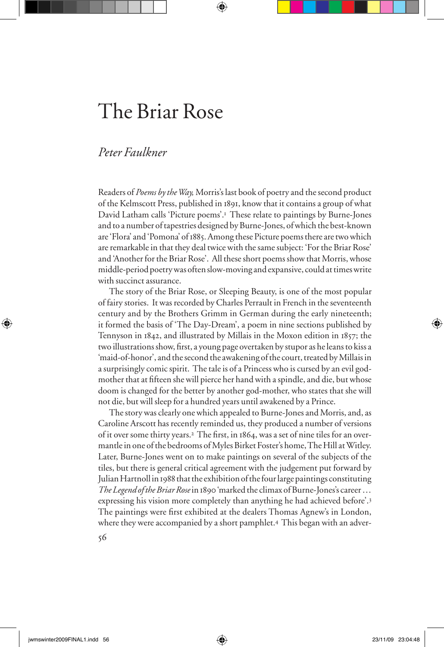# The Briar Rose

# *Peter Faulkner*

Readers of *Poems by the Way,* Morris's last book of poetry and the second product of the Kelmscott Press, published in 1891, know that it contains a group of what David Latham calls 'Picture poems'.<sup>1</sup> These relate to paintings by Burne-Jones and to a number of tapestries designed by Burne-Jones, of which the best-known are 'Flora' and 'Pomona' of 1885. Among these Picture poems there are two which are remarkable in that they deal twice with the same subject: 'For the Briar Rose' and 'Another for the Briar Rose'. All these short poems show that Morris, whose middle-period poetry was often slow-moving and expansive, could at times write with succinct assurance.

The story of the Briar Rose, or Sleeping Beauty, is one of the most popular of fairy stories. It was recorded by Charles Perrault in French in the seventeenth century and by the Brothers Grimm in German during the early nineteenth; it formed the basis of 'The Day-Dream', a poem in nine sections published by Tennyson in 1842, and illustrated by Millais in the Moxon edition in 1857; the two illustrations show, first, a young page overtaken by stupor as he leans to kiss a 'maid-of-honor', and the second the awakening of the court, treated by Millais in a surprisingly comic spirit. The tale is of a Princess who is cursed by an evil godmother that at fifteen she will pierce her hand with a spindle, and die, but whose doom is changed for the better by another god-mother, who states that she will not die, but will sleep for a hundred years until awakened by a Prince.

The story was clearly one which appealed to Burne-Jones and Morris, and, as Caroline Arscott has recently reminded us, they produced a number of versions of it over some thirty years.<sup>2</sup> The first, in 1864, was a set of nine tiles for an overmantle in one of the bedrooms of Myles Birket Foster's home, The Hill at Witley. Later, Burne-Jones went on to make paintings on several of the subjects of the tiles, but there is general critical agreement with the judgement put forward by Julian Hartnoll in 1988 that the exhibition of the four large paintings constituting *The Legend of the Briar Rose* in 1890 'marked the climax of Burne-Jones's career … expressing his vision more completely than anything he had achieved before'.<sup>3</sup> The paintings were first exhibited at the dealers Thomas Agnew's in London, where they were accompanied by a short pamphlet.4 This began with an adver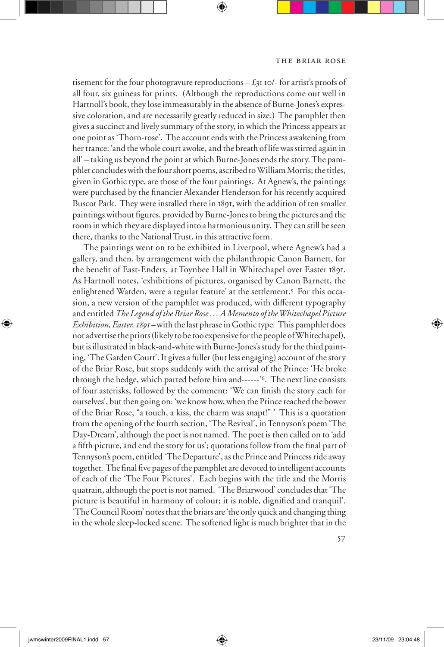tisement for the four photogravure reproductions  $-\xi_{3}$  10/- for artist's proofs of all four, six guineas for prints. (Although the reproductions come out well in Hartnoll's book, they lose immeasurably in the absence of Burne-Jones's expressive coloration, and are necessarily greatly reduced in size.) The pamphlet then gives a succinct and lively summary of the story, in which the Princess appears at one point as 'Thorn-rose'. The account ends with the Princess awakening from her trance: 'and the whole court awoke, and the breath of life was stirred again in all' – taking us beyond the point at which Burne-Jones ends the story. The pamphlet concludes with the four short poems, ascribed to William Morris; the titles, given in Gothic type, are those of the four paintings. At Agnew's, the paintings were purchased by the financier Alexander Henderson for his recently acquired Buscot Park. They were installed there in 1891, with the addition of ten smaller paintings without figures, provided by Burne-Jones to bring the pictures and the room in which they are displayed into a harmonious unity. They can still be seen there, thanks to the National Trust, in this attractive form.

The paintings went on to be exhibited in Liverpool, where Agnew's had a gallery, and then, by arrangement with the philanthropic Canon Barnett, for the benefit of East-Enders, at Toynbee Hall in Whitechapel over Easter 1891. As Hartnoll notes, 'exhibitions of pictures, organised by Canon Barnett, the enlightened Warden, were a regular feature' at the settlement.5 For this occasion, a new version of the pamphlet was produced, with different typography and entitled *The Legend of the Briar Rose … A Memento of the Whitechapel Picture Exhibition, Easter, 1891 –* with the last phrase in Gothic type*.* This pamphlet does not advertise the prints (likely to be too expensive for the people of Whitechapel), but is illustrated in black-and-white with Burne-Jones's study for the third painting, 'The Garden Court'. It gives a fuller (but less engaging) account of the story of the Briar Rose, but stops suddenly with the arrival of the Prince: 'He broke through the hedge, which parted before him and------'6. The next line consists of four asterisks, followed by the comment: 'We can finish the story each for ourselves', but then going on: 'we know how, when the Prince reached the bower of the Briar Rose, "a touch, a kiss, the charm was snapt!" ' This is a quotation from the opening of the fourth section, 'The Revival', in Tennyson's poem 'The Day-Dream', although the poet is not named. The poet is then called on to 'add a fifth picture, and end the story for us'; quotations follow from the final part of Tennyson's poem, entitled 'The Departure', as the Prince and Princess ride away together. The final five pages of the pamphlet are devoted to intelligent accounts of each of the 'The Four Pictures'. Each begins with the title and the Morris quatrain, although the poet is not named. 'The Briarwood' concludes that 'The picture is beautiful in harmony of colour; it is noble, dignified and tranquil'. 'The Council Room' notes that the briars are 'the only quick and changing thing in the whole sleep-locked scene. The softened light is much brighter that in the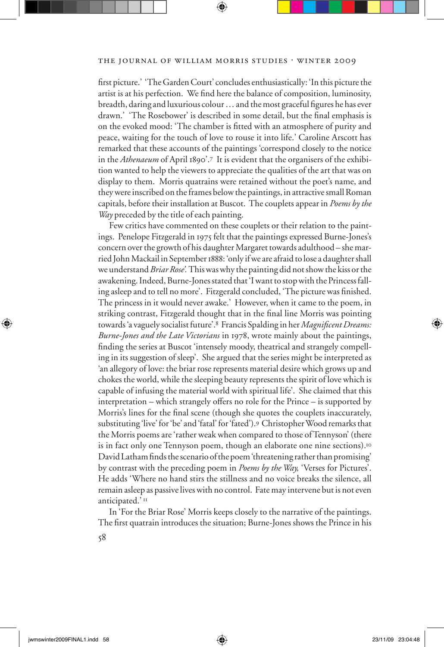## THE JOURNAL OF WILLIAM MORRIS STUDIES . WINTER 2009

first picture.' 'The Garden Court' concludes enthusiastically: 'In this picture the artist is at his perfection. We find here the balance of composition, luminosity, breadth, daring and luxurious colour ... and the most graceful figures he has ever drawn.' 'The Rosebower' is described in some detail, but the final emphasis is on the evoked mood: 'The chamber is fitted with an atmosphere of purity and peace, waiting for the touch of love to rouse it into life.' Caroline Arscott has remarked that these accounts of the paintings 'correspond closely to the notice in the *Athenaeum* of April 1890'.7 It is evident that the organisers of the exhibition wanted to help the viewers to appreciate the qualities of the art that was on display to them. Morris quatrains were retained without the poet's name, and they were inscribed on the frames below the paintings, in attractive small Roman capitals, before their installation at Buscot. The couplets appear in *Poems by the Way* preceded by the title of each painting.

Few critics have commented on these couplets or their relation to the paintings. Penelope Fitzgerald in 1975 felt that the paintings expressed Burne-Jones's concern over the growth of his daughter Margaret towards adulthood – she married John Mackail in September 1888: 'only if we are afraid to lose a daughter shall we understand *Briar Rose'.* This was why the painting did not show the kiss or the awakening. Indeed, Burne-Jones stated that 'I want to stop with the Princess falling asleep and to tell no more'. Fitzgerald concluded, 'The picture was finished. The princess in it would never awake.' However, when it came to the poem, in striking contrast, Fitzgerald thought that in the final line Morris was pointing towards 'a vaguely socialist future'.8 Francis Spalding in her *Magnificent Dreams: Burne-Jones and the Late Victorians* in 1978, wrote mainly about the paintings, finding the series at Buscot 'intensely moody, theatrical and strangely compelling in its suggestion of sleep'. She argued that the series might be interpreted as 'an allegory of love: the briar rose represents material desire which grows up and chokes the world, while the sleeping beauty represents the spirit of love which is capable of infusing the material world with spiritual life'. She claimed that this  $interpretation - which strategy offers no role for the Prince - is supported by$ Morris's lines for the final scene (though she quotes the couplets inaccurately, substituting 'live' for 'be' and 'fatal' for 'fated').9 Christopher Wood remarks that the Morris poems are 'rather weak when compared to those of Tennyson' (there is in fact only one Tennyson poem, though an elaborate one nine sections).<sup>10</sup> David Latham finds the scenario of the poem 'threatening rather than promising' by contrast with the preceding poem in *Poems by the Way,* 'Verses for Pictures'. He adds 'Where no hand stirs the stillness and no voice breaks the silence, all remain asleep as passive lives with no control. Fate may intervene but is not even anticipated.'<sup>II</sup>

In 'For the Briar Rose' Morris keeps closely to the narrative of the paintings. The first quatrain introduces the situation; Burne-Jones shows the Prince in his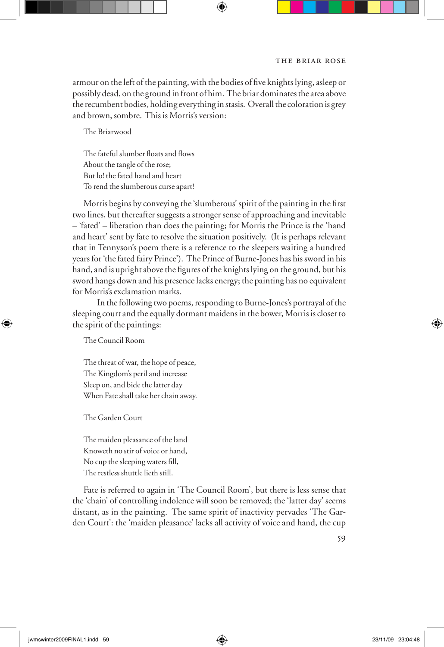armour on the left of the painting, with the bodies of five knights lying, asleep or possibly dead, on the ground in front of him. The briar dominates the area above the recumbent bodies, holding everything in stasis. Overall the coloration is grey and brown, sombre. This is Morris's version:

The Briarwood

The fateful slumber floats and flows About the tangle of the rose; But lo! the fated hand and heart To rend the slumberous curse apart!

Morris begins by conveying the 'slumberous' spirit of the painting in the first two lines, but thereafter suggests a stronger sense of approaching and inevitable – 'fated' – liberation than does the painting; for Morris the Prince is the 'hand and heart' sent by fate to resolve the situation positively. (It is perhaps relevant that in Tennyson's poem there is a reference to the sleepers waiting a hundred years for 'the fated fairy Prince'). The Prince of Burne-Jones has his sword in his hand, and is upright above the figures of the knights lying on the ground, but his sword hangs down and his presence lacks energy; the painting has no equivalent for Morris's exclamation marks.

In the following two poems, responding to Burne-Jones's portrayal of the sleeping court and the equally dormant maidens in the bower, Morris is closer to the spirit of the paintings:

The Council Room

The threat of war, the hope of peace, The Kingdom's peril and increase Sleep on, and bide the latter day When Fate shall take her chain away.

The Garden Court

The maiden pleasance of the land Knoweth no stir of voice or hand, No cup the sleeping waters fill, The restless shuttle lieth still.

Fate is referred to again in 'The Council Room', but there is less sense that the 'chain' of controlling indolence will soon be removed; the 'latter day' seems distant, as in the painting. The same spirit of inactivity pervades 'The Garden Court': the 'maiden pleasance' lacks all activity of voice and hand, the cup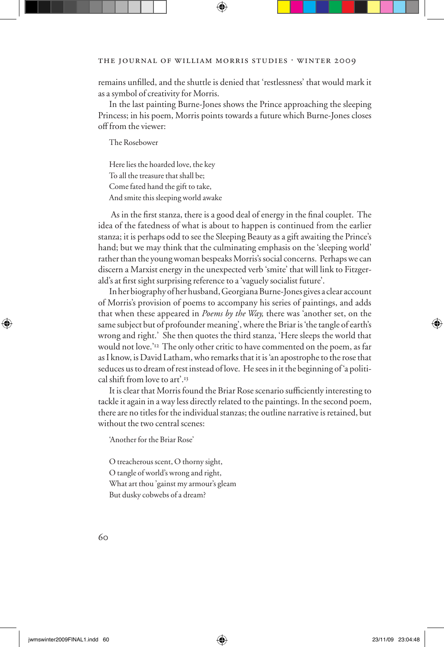remains unfilled, and the shuttle is denied that 'restlessness' that would mark it as a symbol of creativity for Morris.

In the last painting Burne-Jones shows the Prince approaching the sleeping Princess; in his poem, Morris points towards a future which Burne-Jones closes off from the viewer:

The Rosebower

Here lies the hoarded love, the key To all the treasure that shall be; Come fated hand the gift to take, And smite this sleeping world awake

As in the first stanza, there is a good deal of energy in the final couplet. The idea of the fatedness of what is about to happen is continued from the earlier stanza; it is perhaps odd to see the Sleeping Beauty as a gift awaiting the Prince's hand; but we may think that the culminating emphasis on the 'sleeping world' rather than the young woman bespeaks Morris's social concerns. Perhaps we can discern a Marxist energy in the unexpected verb 'smite' that will link to Fitzgerald's at first sight surprising reference to a 'vaguely socialist future'.

In her biography of her husband, Georgiana Burne-Jones gives a clear account of Morris's provision of poems to accompany his series of paintings, and adds that when these appeared in *Poems by the Way,* there was 'another set, on the same subject but of profounder meaning', where the Briar is 'the tangle of earth's wrong and right.' She then quotes the third stanza, 'Here sleeps the world that would not love.'12 The only other critic to have commented on the poem, as far as I know, is David Latham, who remarks that it is 'an apostrophe to the rose that seduces us to dream of rest instead of love. He sees in it the beginning of 'a political shift from love to art'.<sup>13</sup>

It is clear that Morris found the Briar Rose scenario sufficiently interesting to tackle it again in a way less directly related to the paintings. In the second poem, there are no titles for the individual stanzas; the outline narrative is retained, but without the two central scenes:

'Another for the Briar Rose'

O treacherous scent, O thorny sight, O tangle of world's wrong and right, What art thou 'gainst my armour's gleam But dusky cobwebs of a dream?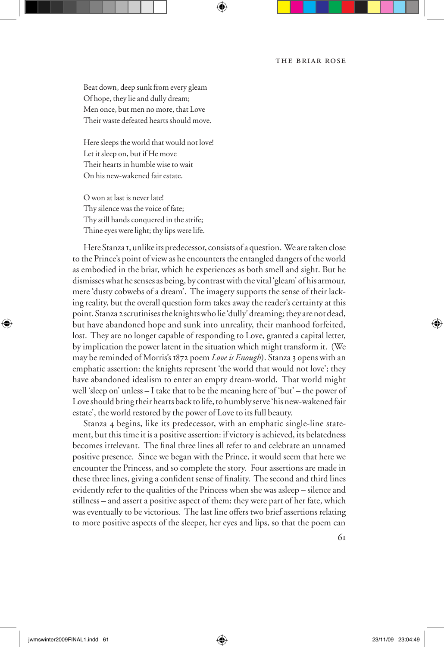### the briar rose

Beat down, deep sunk from every gleam Of hope, they lie and dully dream; Men once, but men no more, that Love Their waste defeated hearts should move.

Here sleeps the world that would not love! Let it sleep on, but if He move Their hearts in humble wise to wait On his new-wakened fair estate.

O won at last is never late! Thy silence was the voice of fate; Thy still hands conquered in the strife; Thine eyes were light; thy lips were life.

Here Stanza 1, unlike its predecessor, consists of a question. We are taken close to the Prince's point of view as he encounters the entangled dangers of the world as embodied in the briar, which he experiences as both smell and sight. But he dismisses what he senses as being, by contrast with the vital 'gleam' of his armour, mere 'dusty cobwebs of a dream'. The imagery supports the sense of their lacking reality, but the overall question form takes away the reader's certainty at this point. Stanza 2 scrutinises the knights who lie 'dully' dreaming; they are not dead, but have abandoned hope and sunk into unreality, their manhood forfeited, lost. They are no longer capable of responding to Love, granted a capital letter, by implication the power latent in the situation which might transform it. (We may be reminded of Morris's 1872 poem *Love is Enough*). Stanza 3 opens with an emphatic assertion: the knights represent 'the world that would not love'; they have abandoned idealism to enter an empty dream-world. That world might well 'sleep on' unless – I take that to be the meaning here of 'but' – the power of Love should bring their hearts back to life, to humbly serve 'his new-wakened fair estate', the world restored by the power of Love to its full beauty.

Stanza 4 begins, like its predecessor, with an emphatic single-line statement, but this time it is a positive assertion: if victory is achieved, its belatedness becomes irrelevant. The final three lines all refer to and celebrate an unnamed positive presence. Since we began with the Prince, it would seem that here we encounter the Princess, and so complete the story. Four assertions are made in these three lines, giving a confident sense of finality. The second and third lines evidently refer to the qualities of the Princess when she was asleep – silence and stillness – and assert a positive aspect of them; they were part of her fate, which was eventually to be victorious. The last line offers two brief assertions relating to more positive aspects of the sleeper, her eyes and lips, so that the poem can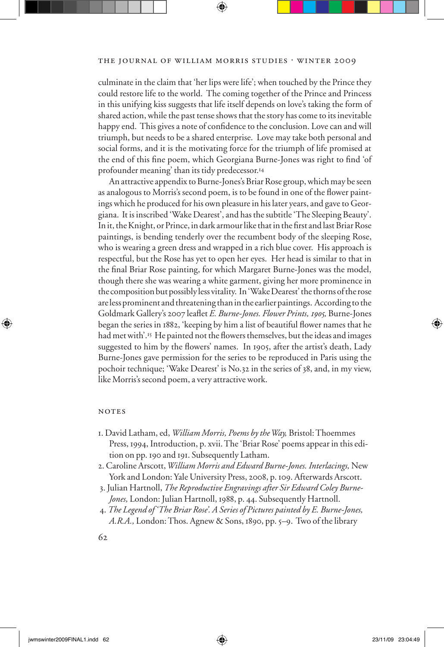culminate in the claim that 'her lips were life'; when touched by the Prince they could restore life to the world. The coming together of the Prince and Princess in this unifying kiss suggests that life itself depends on love's taking the form of shared action, while the past tense shows that the story has come to its inevitable happy end. This gives a note of confidence to the conclusion. Love can and will triumph, but needs to be a shared enterprise. Love may take both personal and social forms, and it is the motivating force for the triumph of life promised at the end of this fine poem, which Georgiana Burne-Jones was right to find 'of profounder meaning' than its tidy predecessor.<sup>14</sup>

An attractive appendix to Burne-Jones's Briar Rose group, which may be seen as analogous to Morris's second poem, is to be found in one of the flower paintings which he produced for his own pleasure in his later years, and gave to Georgiana. It is inscribed 'Wake Dearest', and has the subtitle 'The Sleeping Beauty'. In it, the Knight, or Prince, in dark armour like that in the first and last Briar Rose paintings, is bending tenderly over the recumbent body of the sleeping Rose, who is wearing a green dress and wrapped in a rich blue cover. His approach is respectful, but the Rose has yet to open her eyes. Her head is similar to that in the final Briar Rose painting, for which Margaret Burne-Jones was the model, though there she was wearing a white garment, giving her more prominence in the composition but possibly less vitality. In 'Wake Dearest' the thorns of the rose are less prominent and threatening than in the earlier paintings. According to the Goldmark Gallery's 2007 leaflet *E. Burne-Jones. Flower Prints, 1905*, Burne-Jones began the series in 1882, 'keeping by him a list of beautiful flower names that he had met with'.<sup>15</sup> He painted not the flowers themselves, but the ideas and images suggested to him by the flowers' names. In 1905, after the artist's death, Lady Burne-Jones gave permission for the series to be reproduced in Paris using the pochoir technique; 'Wake Dearest' is No.32 in the series of 38, and, in my view, like Morris's second poem, a very attractive work.

#### **NOTES**

- 1. David Latham, ed, *William Morris, Poems by the Way,* Bristol: Thoemmes Press, 1994, Introduction, p. xvii. The 'Briar Rose' poems appear in this edition on pp. 190 and 191. Subsequently Latham.
- 2. Caroline Arscott, *William Morris and Edward Burne-Jones. Interlacings,* New York and London: Yale University Press, 2008, p. 109. Afterwards Arscott.
- 3. Julian Hartnoll, *The Reproductive Engravings after Sir Edward Coley Burne-Jones,* London: Julian Hartnoll, 1988, p. 44. Subsequently Hartnoll.
- 4. *The Legend of 'The Briar Rose'. A Series of Pictures painted by E. Burne-Jones, A.R.A.,* London: Thos. Agnew & Sons, 1890, pp. 5–9. Two of the library